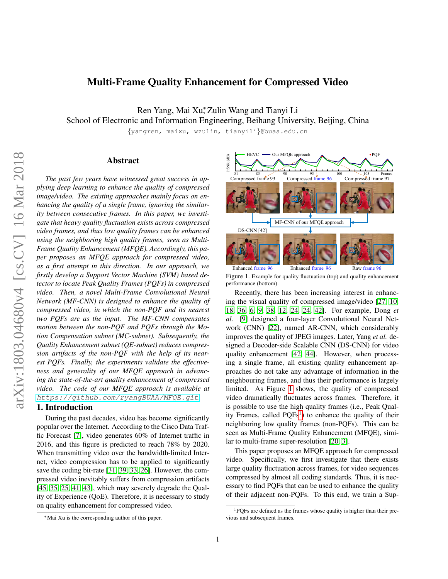## Multi-Frame Quality Enhancement for Compressed Video

Ren Yang, Mai Xu<sup>\*</sup>, Zulin Wang and Tianyi Li

School of Electronic and Information Engineering, Beihang University, Beijing, China

{yangren, maixu, wzulin, tianyili}@buaa.edu.cn

## Abstract

*The past few years have witnessed great success in applying deep learning to enhance the quality of compressed image/video. The existing approaches mainly focus on enhancing the quality of a single frame, ignoring the similarity between consecutive frames. In this paper, we investigate that heavy quality fluctuation exists across compressed video frames, and thus low quality frames can be enhanced using the neighboring high quality frames, seen as Multi-Frame Quality Enhancement (MFQE). Accordingly, this paper proposes an MFQE approach for compressed video, as a first attempt in this direction. In our approach, we firstly develop a Support Vector Machine (SVM) based detector to locate Peak Quality Frames (PQFs) in compressed video. Then, a novel Multi-Frame Convolutional Neural Network (MF-CNN) is designed to enhance the quality of compressed video, in which the non-PQF and its nearest two PQFs are as the input. The MF-CNN compensates motion between the non-PQF and PQFs through the Motion Compensation subnet (MC-subnet). Subsequently, the Quality Enhancement subnet (QE-subnet) reduces compression artifacts of the non-PQF with the help of its nearest PQFs. Finally, the experiments validate the effectiveness and generality of our MFQE approach in advancing the state-of-the-art quality enhancement of compressed video. The code of our MFQE approach is available at* <https://github.com/ryangBUAA/MFQE.git>*.*

#### 1. Introduction

During the past decades, video has become significantly popular over the Internet. According to the Cisco Data Traffic Forecast [\[7\]](#page-8-0), video generates 60% of Internet traffic in 2016, and this figure is predicted to reach 78% by 2020. When transmitting video over the bandwidth-limited Internet, video compression has to be applied to significantly save the coding bit-rate [\[31,](#page-9-0) [39,](#page-9-1) [33,](#page-9-2) [26\]](#page-8-1). However, the compressed video inevitably suffers from compression artifacts [\[45,](#page-9-3) [35,](#page-9-4) [25,](#page-8-2) [41,](#page-9-5) [43\]](#page-9-6), which may severely degrade the Quality of Experience (QoE). Therefore, it is necessary to study on quality enhancement for compressed video.



<span id="page-0-0"></span>Figure 1. Example for quality fluctuation (top) and quality enhancement performance (bottom).

Recently, there has been increasing interest in enhancing the visual quality of compressed image/video [\[27,](#page-8-3) [10,](#page-8-4) [18,](#page-8-5) [36,](#page-9-7) [6,](#page-8-6) [9,](#page-8-7) [38,](#page-9-8) [12,](#page-8-8) [24, 24,](#page-8-9) [42\]](#page-9-9). For example, Dong *et al.* [\[9\]](#page-8-7) designed a four-layer Convolutional Neural Network (CNN) [\[22\]](#page-8-10), named AR-CNN, which considerably improves the quality of JPEG images. Later, Yang *et al.* designed a Decoder-side Scalable CNN (DS-CNN) for video quality enhancement [\[42,](#page-9-9) [44\]](#page-9-10). However, when processing a single frame, all existing quality enhancement approaches do not take any advantage of information in the neighbouring frames, and thus their performance is largely limited. As Figure [1](#page-0-0) shows, the quality of compressed video dramatically fluctuates across frames. Therefore, it is possible to use the high quality frames (i.e., Peak Quality Frames, called  $PQFs<sup>1</sup>$  $PQFs<sup>1</sup>$  $PQFs<sup>1</sup>$ ) to enhance the quality of their neighboring low quality frames (non-PQFs). This can be seen as Multi-Frame Quality Enhancement (MFQE), similar to multi-frame super-resolution [\[20,](#page-8-11) [3\]](#page-8-12).

This paper proposes an MFQE approach for compressed video. Specifically, we first investigate that there exists large quality fluctuation across frames, for video sequences compressed by almost all coding standards. Thus, it is necessary to find PQFs that can be used to enhance the quality of their adjacent non-PQFs. To this end, we train a Sup-

<sup>∗</sup>Mai Xu is the corresponding author of this paper.

<span id="page-0-1"></span><sup>1</sup>PQFs are defined as the frames whose quality is higher than their previous and subsequent frames.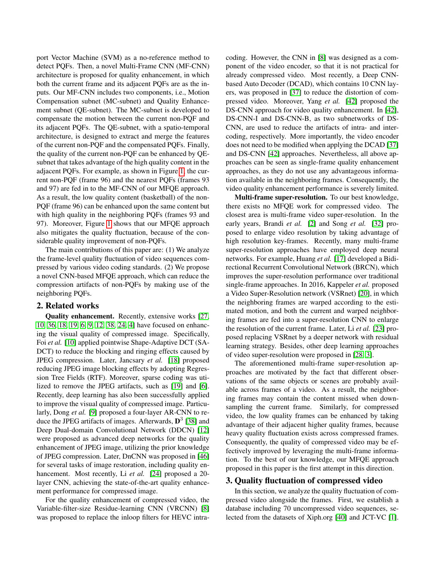port Vector Machine (SVM) as a no-reference method to detect PQFs. Then, a novel Multi-Frame CNN (MF-CNN) architecture is proposed for quality enhancement, in which both the current frame and its adjacent PQFs are as the inputs. Our MF-CNN includes two components, i.e., Motion Compensation subnet (MC-subnet) and Quality Enhancement subnet (QE-subnet). The MC-subnet is developed to compensate the motion between the current non-PQF and its adjacent PQFs. The QE-subnet, with a spatio-temporal architecture, is designed to extract and merge the features of the current non-PQF and the compensated PQFs. Finally, the quality of the current non-PQF can be enhanced by QEsubnet that takes advantage of the high quality content in the adjacent PQFs. For example, as shown in Figure [1,](#page-0-0) the current non-PQF (frame 96) and the nearest PQFs (frames 93 and 97) are fed in to the MF-CNN of our MFQE approach. As a result, the low quality content (basketball) of the non-PQF (frame 96) can be enhanced upon the same content but with high quality in the neighboring PQFs (frames 93 and 97). Moreover, Figure [1](#page-0-0) shows that our MFQE approach also mitigates the quality fluctuation, because of the considerable quality improvement of non-PQFs.

The main contributions of this paper are: (1) We analyze the frame-level quality fluctuation of video sequences compressed by various video coding standards. (2) We propose a novel CNN-based MFQE approach, which can reduce the compression artifacts of non-PQFs by making use of the neighboring PQFs.

## 2. Related works

Quality enhancement. Recently, extensive works [\[27,](#page-8-3) [10,](#page-8-4) [36,](#page-9-7) [18,](#page-8-5) [19,](#page-8-13) [6,](#page-8-6) [9,](#page-8-7) [12,](#page-8-8) [38,](#page-9-8) [24,](#page-8-9) [4\]](#page-8-14) have focused on enhancing the visual quality of compressed image. Specifically, Foi *et al.* [\[10\]](#page-8-4) applied pointwise Shape-Adaptive DCT (SA-DCT) to reduce the blocking and ringing effects caused by JPEG compression. Later, Jancsary *et al.* [\[18\]](#page-8-5) proposed reducing JPEG image blocking effects by adopting Regression Tree Fields (RTF). Moreover, sparse coding was utilized to remove the JPEG artifacts, such as [\[19\]](#page-8-13) and [\[6\]](#page-8-6). Recently, deep learning has also been successfully applied to improve the visual quality of compressed image. Particularly, Dong *et al.* [\[9\]](#page-8-7) proposed a four-layer AR-CNN to reduce the JPEG artifacts of images. Afterwards,  $\mathbf{D}^3$  [\[38\]](#page-9-8) and Deep Dual-domain Convolutional Network (DDCN) [\[12\]](#page-8-8) were proposed as advanced deep networks for the quality enhancement of JPEG image, utilizing the prior knowledge of JPEG compression. Later, DnCNN was proposed in [\[46\]](#page-9-11) for several tasks of image restoration, including quality enhancement. Most recently, Li *et al.* [\[24\]](#page-8-9) proposed a 20layer CNN, achieving the state-of-the-art quality enhancement performance for compressed image.

For the quality enhancement of compressed video, the Variable-filter-size Residue-learning CNN (VRCNN) [\[8\]](#page-8-15) was proposed to replace the inloop filters for HEVC intracoding. However, the CNN in [\[8\]](#page-8-15) was designed as a component of the video encoder, so that it is not practical for already compressed video. Most recently, a Deep CNNbased Auto Decoder (DCAD), which contains 10 CNN layers, was proposed in [\[37\]](#page-9-12) to reduce the distortion of compressed video. Moreover, Yang *et al.* [\[42\]](#page-9-9) proposed the DS-CNN approach for video quality enhancement. In [\[42\]](#page-9-9), DS-CNN-I and DS-CNN-B, as two subnetworks of DS-CNN, are used to reduce the artifacts of intra- and intercoding, respectively. More importantly, the video encoder does not need to be modified when applying the DCAD [\[37\]](#page-9-12) and DS-CNN [\[42\]](#page-9-9) approaches. Nevertheless, all above approaches can be seen as single-frame quality enhancement approaches, as they do not use any advantageous information available in the neighboring frames. Consequently, the video quality enhancement performance is severely limited.

Multi-frame super-resolution. To our best knowledge, there exists no MFQE work for compressed video. The closest area is multi-frame video super-resolution. In the early years, Brandi *et al.* [\[2\]](#page-8-16) and Song *et al.* [\[32\]](#page-9-13) proposed to enlarge video resolution by taking advantage of high resolution key-frames. Recently, many multi-frame super-resolution approaches have employed deep neural networks. For example, Huang *et al.* [\[17\]](#page-8-17) developed a Bidirectional Recurrent Convolutional Network (BRCN), which improves the super-resolution performance over traditional single-frame approaches. In 2016, Kappeler *et al.* proposed a Video Super-Resolution network (VSRnet) [\[20\]](#page-8-11), in which the neighboring frames are warped according to the estimated motion, and both the current and warped neighboring frames are fed into a super-resolution CNN to enlarge the resolution of the current frame. Later, Li *et al.* [\[23\]](#page-8-18) proposed replacing VSRnet by a deeper network with residual learning strategy. Besides, other deep learning approaches of video super-resolution were proposed in [\[28,](#page-8-19) [3\]](#page-8-12).

The aforementioned multi-frame super-resolution approaches are motivated by the fact that different observations of the same objects or scenes are probably available across frames of a video. As a result, the neighboring frames may contain the content missed when downsampling the current frame. Similarly, for compressed video, the low quality frames can be enhanced by taking advantage of their adjacent higher quality frames, because heavy quality fluctuation exists across compressed frames. Consequently, the quality of compressed video may be effectively improved by leveraging the multi-frame information. To the best of our knowledge, our MFQE approach proposed in this paper is the first attempt in this direction.

#### <span id="page-1-0"></span>3. Quality fluctuation of compressed video

In this section, we analyze the quality fluctuation of compressed video alongside the frames. First, we establish a database including 70 uncompressed video sequences, selected from the datasets of Xiph.org [\[40\]](#page-9-14) and JCT-VC [\[1\]](#page-8-20).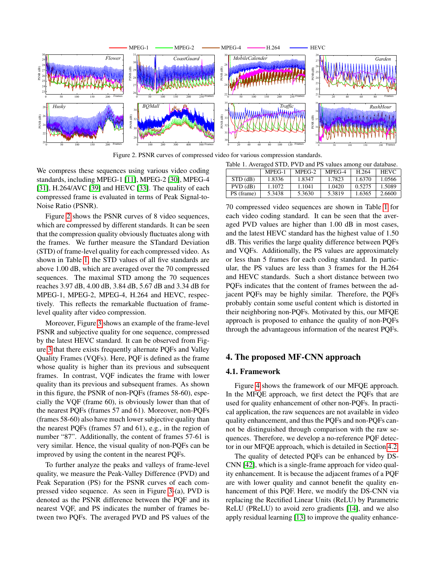

<span id="page-2-0"></span>Figure 2. PSNR curves of compressed video for various compression standards. Figure 2. PSNR curves of compressed video for various compression standards.

We compress these sequences using various video coding standards, including MPEG-1 [\[11\]](#page-8-21), MPEG-2 [\[30\]](#page-8-22), MPEG-4 [\[31\]](#page-9-0), H.264/AVC [\[39\]](#page-9-1) and HEVC [\[33\]](#page-9-2). The quality of each compressed frame is evaluated in terms of Peak Signal-to-Noise Ratio (PSNR).

Figure [2](#page-2-0) shows the PSNR curves of 8 video sequences, Noise Ratio (PSNR) the TENR can be Sequences, which are compressed by different standards. It can be seen  $F$  shows the PSNR curves of  $S<sub>1</sub>$  shows the SNR curves of 8 video sequences, the compression quality obviously fluctuates along with that the compression quanty covidarly interacted atoms with the frames. We further measure the STandard Deviation (STD) of frame-level quality for each compressed video. As shown in Table [1,](#page-2-1) the STD values of all five standards are above 1.00 dB, which are averaged over the 70 compressed sequences. The maximal STD among the 70 sequences reaches 3.97 dB, 4.00 dB, 3.84 dB, 5.67 dB and 3.34 dB for MPEG-1, MPEG-2, MPEG-4, H.264 and HEVC, respectively. This reflects the remarkable fluctuation of framelevel quality after video compression.

Moreover, Figure [3](#page-3-0) shows an example of the frame-level Moreover, Figure 3 shows an example of the Hame-level<br>PSNR and subjective quality for one sequence, compressed Figure 3 shows and subjective quality for one sequence, compressed<br>by the latest HEVC standard. It can be observed from Fig-by the ratest TEVC standard. It can be observed from Figure [3](#page-3-0) that there exists frequently alternate PQFs and Valley Quality Frames (VQFs). Here, PQF is defined as the frame whose quality is higher than its previous and subsequent frames. In contrast, VQF indicates the frame with lower quality than its previous and subsequent frames. As shown quanty than its previous and subsequent riames. This shown<br>in this figure, the PSNR of non-PQFs (frames 58-60), espem and its right; the FBAC of hone  $\Gamma$   $\&$  s (frames 50  $\frac{30}{100}$ , sepectially the VQF (frame 60), is obviously lower than that of the nearest PQFs (frames 57 and 61). Moreover, non-PQFs (frames 58-60) also have much lower subjective quality than  $(5.60)$  also have much lower subjective quality than the nearest PQFs (frames 57 and 61), e.g., in the region of number "87". Additionally, the content of frames  $57-61$  is the nearest POFs. Frames 1, the content of numes 57 or 15 very similar. Hence, the visual quality of non-PQFs can be improved by using the content in the nearest PQFs.

To further analyze the peaks and valleys of frame-level if is using the content in the nearest position in the nearest PQFs. quality, we measure the Peak-Valley Difference (PVD) and  $R_{\text{max}}$ reak-Separation (PS) for the PSPK curves of each com-pressed video sequence. As seen in Figure [3-](#page-3-0)(a), PVD is denoted as the PSNR difference between the PQF and its  $\frac{1}{2}$ heatest vQr, and 13 marcacs the humber of frames between two PQFs. The averaged PVD and PS values of the Peak Separation (PS) for the PSNR curves of each comnearest VQF, and PS indicates the number of frames be-

<span id="page-2-1"></span>

| Table 1. Averaged STD, PVD and PS values among our database. |          |        |        |        |             |  |  |
|--------------------------------------------------------------|----------|--------|--------|--------|-------------|--|--|
|                                                              | $MPEG-1$ | MPEG-2 | MPEG-4 | H 264  | <b>HEVC</b> |  |  |
| STD(dB)                                                      | 1.8336   | 1.8347 | 1.7823 | 1.6370 | 1.0566      |  |  |
| $PVD$ (dB)                                                   | 1.1072   | 1.1041 | 1.0420 | 0.5275 | 1.5089      |  |  |
| PS (frame)                                                   | 5.3438   | 5.3630 | 5.3819 | 1.6365 | 2.6600      |  |  |

70 compressed video sequences are shown in Table [1](#page-2-1) for Fo compressed video sequences are shown in rative 1 for each video soung standard. It can be seen that the averaged PVD values are higher than 1.00 dB in most cases, aged PVD values are ingited that the averaged I model, and the latest HEVC standard has the highest value of 1.50 dB. This verifies the large quality difference between PQFs and VQFs. Additionally, the PS values are approximately or less than 5 frames for each coding standard. In particular, the PS values are less than 3 frames for the H.264 and HEVC standards. Such a short distance between two PQFs indicates that the content of frames between the adjacent PQFs may be highly similar. Therefore, the PQFs probably contain some useful content which is distorted in their neighboring non-PQFs. Motivated by this, our MFQE approach is proposed to enhance the quality of non-PQFs. through the advantageous information of the nearest PQFs. hance the quality of non-PQFs through the advantageous through the advantageous structure  $\mathcal{L}_{\mathcal{A}}$ 

# **4. The proposed MF-CNN approach** 4. The proposed MF-CNN approach

## **4.1. Framework** 4.1. Framework

Figure [4](#page-4-0) shows the framework of our MFQE approach. In the MFQE approach, we first detect the PQFs that are used for quality enhancement of other non-PQFs. In practi-used for quality enhancement of other non-PQFs. In practical application, the raw sequences are not available in video cal application, the raw sequences are not available in video quality enhancement, and thus the PQFs and non-PQFs can-quality enhancement, and thus the PQFs and non-PQFs cannot be distinguished through comparison with the raw sequences. Therefore, we develop a no-reference PQF detec-tor in our MFQE approach, which is detailed in Section [4.2.](#page-3-1)

The quality of detected PQFs can be enhanced by DS- $CNN$  [\[42\]](#page-9-9), which is a single-frame approach for video quality enhancement. It is because the adjacent frames of a PQF ity enhancement. It is because the adjacent frames of a PQF are with lower quality and cannot benefit the quality enhancement of this PQF. Here, we modify the DS-CNN via replacing the Rectified Linear Units (ReLU) by Parametric replacing the Rectified Linear Units (ReLU) by Parametric RELU (FRELU) to avoid zero gradients  $[14]$ , and we also apply residual learning  $[13]$  to improve the quality enhanceare with lower quality and cannot benefit the quality en-ReLU (PReLU) to avoid zero gradients [\[14\]](#page-8-23), and we also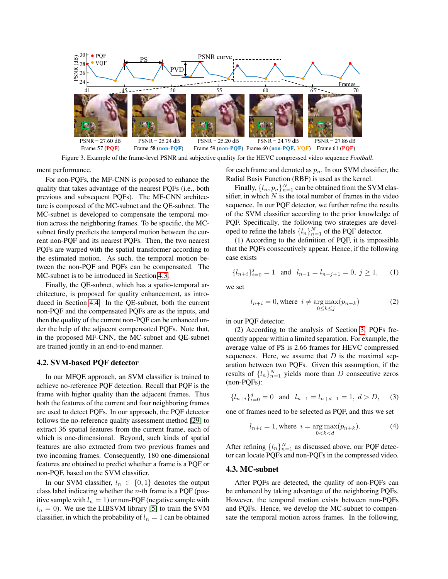

<span id="page-3-0"></span>Figure 3. Example of the frame-level PSNR and subjective quality for the HEVC compressed video sequence *Football*.

ment performance.

For non-PQFs, the MF-CNN is proposed to enhance the quality that takes advantage of the nearest PQFs (i.e., both previous and subsequent PQFs). The MF-CNN architecture is composed of the MC-subnet and the QE-subnet. The MC-subnet is developed to compensate the temporal motion across the neighboring frames. To be specific, the MCsubnet firstly predicts the temporal motion between the current non-PQF and its nearest PQFs. Then, the two nearest PQFs are warped with the spatial transformer according to the estimated motion. As such, the temporal motion between the non-PQF and PQFs can be compensated. The MC-subnet is to be introduced in Section [4.3.](#page-3-2)

Finally, the QE-subnet, which has a spatio-temporal architecture, is proposed for quality enhancement, as introduced in Section [4.4.](#page-5-0) In the QE-subnet, both the current non-PQF and the compensated PQFs are as the inputs, and then the quality of the current non-PQF can be enhanced under the help of the adjacent compensated PQFs. Note that, in the proposed MF-CNN, the MC-subnet and QE-subnet are trained jointly in an end-to-end manner.

### <span id="page-3-1"></span>4.2. SVM-based PQF detector

In our MFQE approach, an SVM classifier is trained to achieve no-reference PQF detection. Recall that PQF is the frame with higher quality than the adjacent frames. Thus both the features of the current and four neighboring frames are used to detect PQFs. In our approach, the PQF detector follows the no-reference quality assessment method [\[29\]](#page-8-25) to extract 36 spatial features from the current frame, each of which is one-dimensional. Beyond, such kinds of spatial features are also extracted from two previous frames and two incoming frames. Consequently, 180 one-dimensional features are obtained to predict whether a frame is a PQF or non-PQF, based on the SVM classifier.

In our SVM classifier,  $l_n \in \{0,1\}$  denotes the output class label indicating whether the  $n$ -th frame is a PQF (positive sample with  $l_n = 1$ ) or non-PQF (negative sample with  $l_n = 0$ ). We use the LIBSVM library [\[5\]](#page-8-26) to train the SVM classifier, in which the probability of  $l_n = 1$  can be obtained

for each frame and denoted as  $p_n$ . In our SVM classifier, the Radial Basis Function (RBF) is used as the kernel.

Finally,  $\{l_n, p_n\}_{n=1}^N$  can be obtained from the SVM classifier, in which  $N$  is the total number of frames in the video sequence. In our PQF detector, we further refine the results of the SVM classifier according to the prior knowledge of PQF. Specifically, the following two strategies are developed to refine the labels  $\{l_n\}_{n=1}^N$  of the PQF detector.

(1) According to the definition of PQF, it is impossible that the PQFs consecutively appear. Hence, if the following case exists

$$
\{l_{n+i}\}_{i=0}^j = 1 \quad \text{and} \quad l_{n-1} = l_{n+j+1} = 0, \ j \ge 1, \qquad (1)
$$

we set

$$
l_{n+i} = 0, \text{where } i \neq \underset{0 \leq k \leq j}{\text{arg max}}(p_{n+k}) \tag{2}
$$

in our PQF detector.

(2) According to the analysis of Section [3,](#page-1-0) PQFs frequently appear within a limited separation. For example, the average value of PS is 2.66 frames for HEVC compressed sequences. Here, we assume that  $D$  is the maximal separation between two PQFs. Given this assumption, if the results of  $\{l_n\}_{n=1}^N$  yields more than D consecutive zeros (non-PQFs):

<span id="page-3-3"></span>
$$
\{l_{n+i}\}_{i=0}^d = 0 \quad \text{and} \quad l_{n-1} = l_{n+d+1} = 1, \ d > D, \tag{3}
$$

one of frames need to be selected as PQF, and thus we set

$$
l_{n+i} = 1, \text{where } i = \underset{0 < k < d}{\arg \max}(p_{n+k}). \tag{4}
$$

After refining  $\{l_n\}_{n=1}^N$  as discussed above, our PQF detector can locate PQFs and non-PQFs in the compressed video.

#### <span id="page-3-2"></span>4.3. MC-subnet

After PQFs are detected, the quality of non-PQFs can be enhanced by taking advantage of the neighboring PQFs. However, the temporal motion exists between non-PQFs and PQFs. Hence, we develop the MC-subnet to compensate the temporal motion across frames. In the following,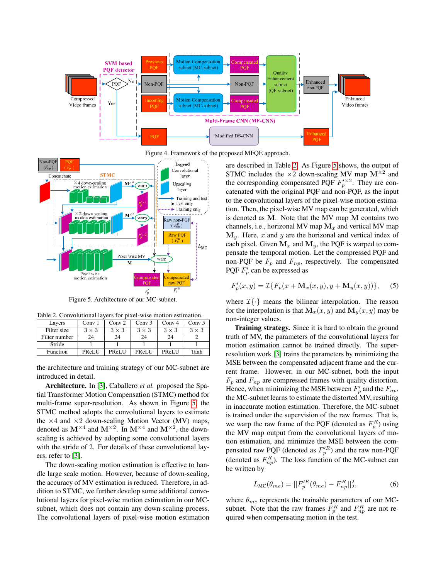

<span id="page-4-0"></span>Figure 4. Framework of the proposed MFQE approach.



<span id="page-4-2"></span><span id="page-4-1"></span>Figure 5. Architecture of our MC-subnet.

Table 2. Convolutional layers for pixel-wise motion estimation.

| Lavers        | Conv <sub>1</sub> | Conv <sub>2</sub> | Conv <sub>3</sub> | Conv <sub>4</sub> | Conv $\overline{5}$ |
|---------------|-------------------|-------------------|-------------------|-------------------|---------------------|
| Filter size   | $3 \times 3$      | $3 \times 3$      | $3 \times 3$      | $3 \times 3$      | $3 \times 3$        |
| Filter number | 24                |                   | 24                | 24                |                     |
| Stride        |                   |                   |                   |                   |                     |
| Function      | PReLU             | <b>PReLU</b>      | <b>PReLU</b>      | PReLU             | Tanh                |

the architecture and training strategy of our MC-subnet are introduced in detail.

Architecture. In [\[3\]](#page-8-12), Caballero *et al.* proposed the Spatial Transformer Motion Compensation (STMC) method for multi-frame super-resolution. As shown in Figure [5,](#page-4-1) the STMC method adopts the convolutional layers to estimate the  $\times$ 4 and  $\times$ 2 down-scaling Motion Vector (MV) maps, denoted as  $M^{\times 4}$  and  $M^{\times 2}$ . In  $M^{\times 4}$  and  $M^{\times 2}$ , the downscaling is achieved by adopting some convolutional layers with the stride of 2. For details of these convolutional layers, refer to [\[3\]](#page-8-12).

The down-scaling motion estimation is effective to handle large scale motion. However, because of down-scaling, the accuracy of MV estimation is reduced. Therefore, in addition to STMC, we further develop some additional convolutional layers for pixel-wise motion estimation in our MCsubnet, which does not contain any down-scaling process. The convolutional layers of pixel-wise motion estimation

are described in Table [2.](#page-4-2) As Figure [5](#page-4-1) shows, the output of STMC includes the  $\times 2$  down-scaling MV map  $M^{\times 2}$  and the corresponding compensated PQF  $F_p^{\prime\prime}$ . They are concatenated with the original PQF and non-PQF, as the input to the convolutional layers of the pixel-wise motion estimation. Then, the pixel-wise MV map can be generated, which is denoted as M. Note that the MV map M contains two channels, i.e., horizonal MV map  $M_x$  and vertical MV map  $M_y$ . Here, x and y are the horizonal and vertical index of each pixel. Given  $M_x$  and  $M_y$ , the PQF is warped to compensate the temporal motion. Let the compressed PQF and non-PQF be  $F_p$  and  $F_{np}$ , respectively. The compensated PQF  $F_p'$  can be expressed as

$$
F_p'(x, y) = \mathcal{I}\{F_p(x + \mathbf{M}_x(x, y), y + \mathbf{M}_y(x, y))\},\tag{5}
$$

where  $\mathcal{I}\{\cdot\}$  means the bilinear interpolation. The reason for the interpolation is that  $\mathbf{M}_{x}(x, y)$  and  $\mathbf{M}_{y}(x, y)$  may be non-integer values.

**Training strategy.** Since it is hard to obtain the ground truth of MV, the parameters of the convolutional layers for motion estimation cannot be trained directly. The superresolution work [\[3\]](#page-8-12) trains the parameters by minimizing the MSE between the compensated adjacent frame and the current frame. However, in our MC-subnet, both the input  $F_p$  and  $F_{np}$  are compressed frames with quality distortion. Hence, when minimizing the MSE between  $F'_p$  and the  $F_{np}$ , the MC-subnet learns to estimate the distorted MV, resulting in inaccurate motion estimation. Therefore, the MC-subnet is trained under the supervision of the raw frames. That is, we warp the raw frame of the PQF (denoted as  $F_p^R$ ) using the MV map output from the convolutional layers of motion estimation, and minimize the MSE between the compensated raw PQF (denoted as  $F_p'^R$ ) and the raw non-PQF (denoted as  $F_{np}^R$ ). The loss function of the MC-subnet can be written by

$$
L_{\rm MC}(\theta_{mc}) = ||F_p^{\prime R}(\theta_{mc}) - F_{np}^R||_2^2,
$$
 (6)

where  $\theta_{mc}$  represents the trainable parameters of our MCsubnet. Note that the raw frames  $F_p^R$  and  $F_{np}^R$  are not required when compensating motion in the test.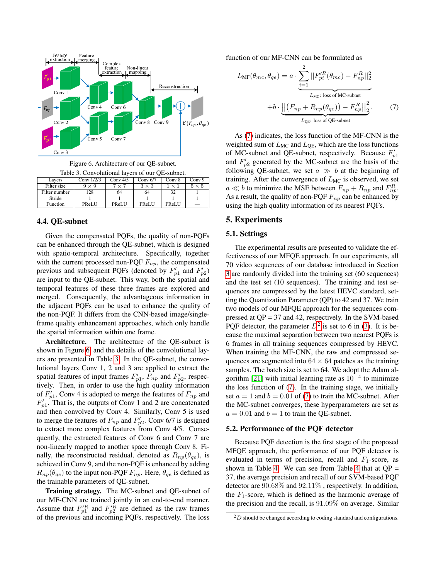

<span id="page-5-2"></span><span id="page-5-1"></span>Figure 6. Architecture of our QE-subnet.

| Table 3. Convolutional layers of our QE-subnet. |               |                     |              |              |              |              |
|-------------------------------------------------|---------------|---------------------|--------------|--------------|--------------|--------------|
|                                                 | Layers        | Conv $\sqrt{1/2/3}$ | Conv $4/5$   | Conv $6/7$   | Conv 8       | Conv 9       |
|                                                 | Filter size   | $9 \times 9$        | $7 \times 7$ | $3 \times 3$ | $1 \times 1$ | $5 \times 5$ |
|                                                 | Filter number | 128                 | 64           | 64           | 32           |              |
|                                                 | Stride        |                     |              |              |              |              |
|                                                 | Function      | PReLU               | PReLU        | PReLU        | PReLU        |              |

## <span id="page-5-0"></span>4.4. QE-subnet

Given the compensated PQFs, the quality of non-PQFs can be enhanced through the QE-subnet, which is designed with spatio-temporal architecture. Specifically, together with the current processed non-PQF  $F_{np}$ , the compensated previous and subsequent PQFs (denoted by  $F'_{p1}$  and  $F'_{p2}$ ) are input to the QE-subnet. This way, both the spatial and temporal features of these three frames are explored and merged. Consequently, the advantageous information in the adjacent PQFs can be used to enhance the quality of the non-PQF. It differs from the CNN-based image/singleframe quality enhancement approaches, which only handle the spatial information within one frame.

Architecture. The architecture of the QE-subnet is shown in Figure [6,](#page-5-1) and the details of the convolutional layers are presented in Table [3.](#page-5-2) In the QE-subnet, the convolutional layers Conv 1, 2 and 3 are applied to extract the spatial features of input frames  $F'_{p1}$ ,  $F_{np}$  and  $F'_{p2}$ , respectively. Then, in order to use the high quality information of  $F'_{p1}$ , Conv 4 is adopted to merge the features of  $F_{np}$  and  $F'_{p1}$ . That is, the outputs of Conv 1 and 2 are concatenated and then convolved by Conv 4. Similarly, Conv 5 is used to merge the features of  $F_{np}$  and  $F'_{p2}$ . Conv 6/7 is designed to extract more complex features from Conv 4/5. Consequently, the extracted features of Conv 6 and Conv 7 are non-linearly mapped to another space through Conv 8. Finally, the reconstructed residual, denoted as  $R_{np}(\theta_{qe})$ , is achieved in Conv 9, and the non-PQF is enhanced by adding  $R_{np}(\theta_{qe})$  to the input non-PQF  $F_{np}$ . Here,  $\theta_{qe}$  is defined as the trainable parameters of QE-subnet.

Training strategy. The MC-subnet and QE-subnet of our MF-CNN are trained jointly in an end-to-end manner. Assume that  $F'^R_{p1}$  and  $F'^R_{p2}$  are defined as the raw frames of the previous and incoming PQFs, respectively. The loss

function of our MF-CNN can be formulated as

<span id="page-5-3"></span>
$$
L_{\text{MF}}(\theta_{mc}, \theta_{qe}) = a \cdot \underbrace{\sum_{i=1}^{2} ||F_{pi}^{'R}(\theta_{mc}) - F_{np}^R||_2^2}_{L_{\text{MC}}: \text{ loss of MC-subnet}}
$$

$$
+ b \cdot \underbrace{||(F_{np} + R_{np}(\theta_{qe})) - F_{np}^R||_2^2}_{L_{\text{QE}}: \text{ loss of QE-subnet}}.
$$
(7)

As [\(7\)](#page-5-3) indicates, the loss function of the MF-CNN is the weighted sum of  $L_{MC}$  and  $L_{QE}$ , which are the loss functions of MC-subnet and QE-subnet, respectively. Because  $F'_{p1}$ and  $F'_{p2}$  generated by the MC-subnet are the basis of the following QE-subnet, we set  $a \gg b$  at the beginning of training. After the convergence of  $L_{MC}$  is observed, we set  $a \ll b$  to minimize the MSE between  $F_{np} + R_{np}$  and  $F_{np}^R$ . As a result, the quality of non-PQF  $F_{np}$  can be enhanced by using the high quality information of its nearest PQFs.

### 5. Experiments

#### 5.1. Settings

The experimental results are presented to validate the effectiveness of our MFQE approach. In our experiments, all 70 video sequences of our database introduced in Section [3](#page-1-0) are randomly divided into the training set (60 sequences) and the test set (10 sequences). The training and test sequences are compressed by the latest HEVC standard, setting the Quantization Parameter (QP) to 42 and 37. We train two models of our MFQE approach for the sequences compressed at QP = 37 and 42, respectively. In the SVM-based PQF detector, the parameter  $D^2$  $D^2$  is set to 6 in [\(3\)](#page-3-3). It is because the maximal separation between two nearest PQFs is 6 frames in all training sequences compressed by HEVC. When training the MF-CNN, the raw and compressed sequences are segmented into  $64 \times 64$  patches as the training samples. The batch size is set to 64. We adopt the Adam al-gorithm [\[21\]](#page-8-27) with initial learning rate as  $10^{-4}$  to minimize the loss function of [\(7\)](#page-5-3). In the training stage, we initially set  $a = 1$  and  $b = 0.01$  of [\(7\)](#page-5-3) to train the MC-subnet. After the MC-subnet converges, these hyperparameters are set as  $a = 0.01$  and  $b = 1$  to train the QE-subnet.

#### 5.2. Performance of the PQF detector

Because PQF detection is the first stage of the proposed MFQE approach, the performance of our PQF detector is evaluated in terms of precision, recall and  $F_1$ -score, as shown in Table [4.](#page-6-0) We can see from Table [4](#page-6-0) that at  $QP =$ 37, the average precision and recall of our SVM-based PQF detector are 90.68% and 92.11% , respectively. In addition, the  $F_1$ -score, which is defined as the harmonic average of the precision and the recall, is 91.09% on average. Similar

<span id="page-5-4"></span> $^{2}D$  should be changed according to coding standard and configurations.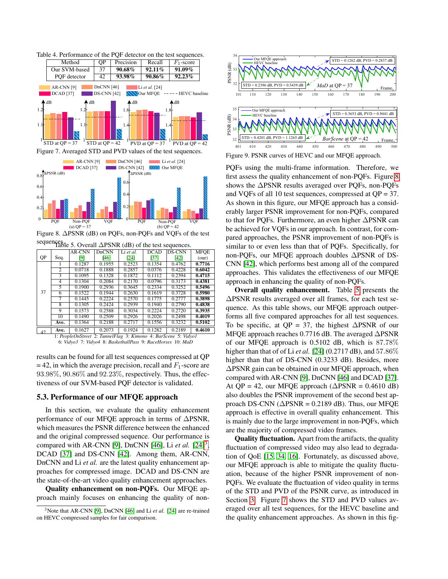<span id="page-6-0"></span>

<span id="page-6-4"></span>Figure 7. Averaged STD and PVD values of the test sequences.



<span id="page-6-2"></span>Figure 8. ∆PSNR (dB) on PQFs, non-PQFs and VQFs of the test sequences. Table 5. Overall ∆PSNR (dB) of the test sequences

<span id="page-6-3"></span>

| $\cdots$ |                |        |              |           |             |               |             |
|----------|----------------|--------|--------------|-----------|-------------|---------------|-------------|
|          |                | AR-CNN | <b>DnCNN</b> | Li et al. | <b>DCAD</b> | <b>DS-CNN</b> | <b>MFOE</b> |
| QP       | Seq.           | [9]    | [46]         | [24]      | $[37]$      | [42]          | (our)       |
|          |                | 0.1287 | 0.1955       | 0.2523    | 0.1354      | 0.4762        | 0.7716      |
|          | $\overline{2}$ | 0.0718 | 0.1888       | 0.2857    | 0.0376      | 0.4228        | 0.6042      |
|          | 3              | 0.1095 | 0.1328       | 0.1872    | 0.1112      | 0.2394        | 0.4715      |
|          | 4              | 0.1304 | 0.2084       | 0.2170    | 0.0796      | 0.3173        | 0.4381      |
|          | 5              | 0.1900 | 0.2936       | 0.3645    | 0.2334      | 0.3252        | 0.5496      |
| 37       | 6              | 0.1522 | 0.1944       | 0.2630    | 0.1619      | 0.3728        | 0.5980      |
|          | 7              | 0.1445 | 0.2224       | 0.2570    | 0.1775      | 0.2777        | 0.3898      |
|          | 8              | 0.1305 | 0.2424       | 0.2939    | 0.1940      | 0.2790        | 0.4838      |
|          | 9              | 0.1573 | 0.2588       | 0.3034    | 0.2224      | 0.2720        | 0.3935      |
|          | 10             | 0.1490 | 0.2509       | 0.2926    | 0.2026      | 0.2498        | 0.4019      |
|          | Ave.           | 0.1364 | 0.2188       | 0.2717    | 0.1556      | 0.3232        | 0.5102      |
|          | $A - a$        | 0.1627 | 0.2072       | 0.1024    | 0.1202      | 0.2180        | 0.4610      |

<sup>42</sup> Ave. 0.1627 0.2073 0.1924 0.1282 0.2189 0.4610 1: *PeopleOnStreet* 2: *TunnelFlag* 3: *Kimono* 4: *BarScene* 5: *Vidyo1* 6: *Vidyo3* 7: *Vidyo4* 8: *BasketballPass* 9: *RaceHorses* 10: *MaD*

## 5.3. Performance of our MFQE approach

In this section, we evaluate the quality enhancement performance of our MFQE approach in terms of ∆PSNR, which measures the PSNR difference between the enhanced and the original compressed sequence. Our performance is compared with AR-CNN [\[9\]](#page-8-7), DnCNN [\[46\]](#page-9-11), Li  $et$  al.  $[24]$ <sup>[3](#page-6-1)</sup>, DCAD [\[37\]](#page-9-12) and DS-CNN [\[42\]](#page-9-9). Among them, AR-CNN, DnCNN and Li *et al.* are the latest quality enhancement approaches for compressed image. DCAD and DS-CNN are the state-of-the-art video quality enhancement approaches.

Quality enhancement on non-PQFs. Our MFQE approach mainly focuses on enhancing the quality of non-



<span id="page-6-5"></span>PQFs using the multi-frame information. Therefore, we first assess the quality enhancement of non-PQFs. Figure [8](#page-6-2) shows the ∆PSNR results averaged over PQFs, non-PQFs and VQFs of all 10 test sequences, compressed at QP = 37. As shown in this figure, our MFQE approach has a considerably larger PSNR improvement for non-PQFs, compared to that for PQFs. Furthermore, an even higher ∆PSNR can be achieved for VQFs in our approach. In contrast, for compared approaches, the PSNR improvement of non-PQFs is similar to or even less than that of PQFs. Specifically, for non-PQFs, our MFQE approach doubles ∆PSNR of DS-CNN [\[42\]](#page-9-9), which performs best among all of the compared approaches. This validates the effectiveness of our MFQE approach in enhancing the quality of non-PQFs.

Overall quality enhancement. Table [5](#page-6-3) presents the ∆PSNR results averaged over all frames, for each test sequence. As this table shows, our MFQE approach outperforms all five compared approaches for all test sequences. To be specific, at QP = 37, the highest  $\triangle$ PSNR of our MFQE approach reaches 0.7716 dB. The averaged ∆PSNR of our MFQE approach is 0.5102 dB, which is 87.78% higher than that of of Li *et al.* [\[24\]](#page-8-9) (0.2717 dB), and 57.86% higher than that of DS-CNN (0.3233 dB). Besides, more ∆PSNR gain can be obtained in our MFQE approach, when compared with AR-CNN [\[9\]](#page-8-7), DnCNN [\[46\]](#page-9-11) and DCAD [\[37\]](#page-9-12). At QP = 42, our MFQE approach ( $\triangle$ PSNR = 0.4610 dB) also doubles the PSNR improvement of the second best approach DS-CNN ( $\triangle$ PSNR = 0.2189 dB). Thus, our MFQE approach is effective in overall quality enhancement. This is mainly due to the large improvement in non-PQFs, which are the majority of compressed video frames.

Quality fluctuation. Apart from the artifacts, the quality fluctuation of compressed video may also lead to degradation of QoE [\[15,](#page-8-28) [34,](#page-9-15) [16\]](#page-8-29). Fortunately, as discussed above, our MFQE approach is able to mitigate the quality fluctuation, because of the higher PSNR improvement of non-PQFs. We evaluate the fluctuation of video quality in terms of the STD and PVD of the PSNR curve, as introduced in Section [3.](#page-1-0) Figure [7](#page-6-4) shows the STD and PVD values averaged over all test sequences, for the HEVC baseline and the quality enhancement approaches. As shown in this fig-

results can be found for all test sequences compressed at QP  $= 42$ , in which the average precision, recall and  $F_1$ -score are 93.98%, 90.86% and 92.23%, respectively. Thus, the effectiveness of our SVM-based PQF detector is validated.

<span id="page-6-1"></span><sup>&</sup>lt;sup>3</sup>Note that AR-CNN [\[9\]](#page-8-7), DnCNN [\[46\]](#page-9-11) and Li *et al.* [\[24\]](#page-8-9) are re-trained on HEVC compressed samples for fair comparison.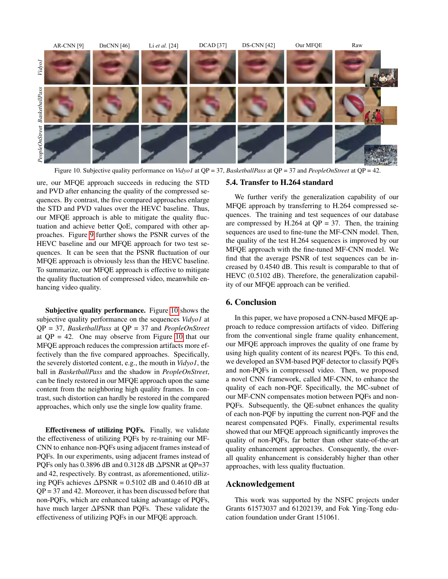

<span id="page-7-0"></span>Figure 10. Subjective quality performance on *Vidyo1* at QP = 37, *BasketballPass* at QP = 37 and *PeopleOnStreet* at QP = 42.

ure, our MFQE approach succeeds in reducing the STD and PVD after enhancing the quality of the compressed sequences. By contrast, the five compared approaches enlarge the STD and PVD values over the HEVC baseline. Thus, our MFQE approach is able to mitigate the quality fluctuation and achieve better QoE, compared with other approaches. Figure [9](#page-6-5) further shows the PSNR curves of the HEVC baseline and our MFQE approach for two test sequences. It can be seen that the PSNR fluctuation of our MFQE approach is obviously less than the HEVC baseline. To summarize, our MFQE approach is effective to mitigate the quality fluctuation of compressed video, meanwhile enhancing video quality.

Subjective quality performance. Figure [10](#page-7-0) shows the subjective quality performance on the sequences *Vidyo1* at QP = 37, *BasketballPass* at QP = 37 and *PeopleOnStreet* at  $QP = 42$ . One may observe from Figure [10](#page-7-0) that our MFQE approach reduces the compression artifacts more effectively than the five compared approaches. Specifically, the severely distorted content, e.g., the mouth in *Vidyo1*, the ball in *BasketballPass* and the shadow in *PeopleOnStreet*, can be finely restored in our MFQE approach upon the same content from the neighboring high quality frames. In contrast, such distortion can hardly be restored in the compared approaches, which only use the single low quality frame.

Effectiveness of utilizing PQFs. Finally, we validate the effectiveness of utilizing PQFs by re-training our MF-CNN to enhance non-PQFs using adjacent frames instead of PQFs. In our experiments, using adjacent frames instead of POFs only has 0.3896 dB and 0.3128 dB ∆PSNR at OP=37 and 42, respectively. By contrast, as aforementioned, utilizing PQFs achieves  $\triangle$ PSNR = 0.5102 dB and 0.4610 dB at QP = 37 and 42. Moreover, it has been discussed before that non-PQFs, which are enhanced taking advantage of PQFs, have much larger ∆PSNR than PQFs. These validate the effectiveness of utilizing PQFs in our MFQE approach.

#### 5.4. Transfer to H.264 standard

We further verify the generalization capability of our MFQE approach by transferring to H.264 compressed sequences. The training and test sequences of our database are compressed by H.264 at  $QP = 37$ . Then, the training sequences are used to fine-tune the MF-CNN model. Then, the quality of the test H.264 sequences is improved by our MFQE approach with the fine-tuned MF-CNN model. We find that the average PSNR of test sequences can be increased by 0.4540 dB. This result is comparable to that of HEVC (0.5102 dB). Therefore, the generalization capability of our MFQE approach can be verified.

## 6. Conclusion

In this paper, we have proposed a CNN-based MFQE approach to reduce compression artifacts of video. Differing from the conventional single frame quality enhancement, our MFQE approach improves the quality of one frame by using high quality content of its nearest PQFs. To this end, we developed an SVM-based PQF detector to classify PQFs and non-PQFs in compressed video. Then, we proposed a novel CNN framework, called MF-CNN, to enhance the quality of each non-PQF. Specifically, the MC-subnet of our MF-CNN compensates motion between PQFs and non-PQFs. Subsequently, the QE-subnet enhances the quality of each non-PQF by inputting the current non-PQF and the nearest compensated PQFs. Finally, experimental results showed that our MFQE approach significantly improves the quality of non-PQFs, far better than other state-of-the-art quality enhancement approaches. Consequently, the overall quality enhancement is considerably higher than other approaches, with less quality fluctuation.

## Acknowledgement

This work was supported by the NSFC projects under Grants 61573037 and 61202139, and Fok Ying-Tong education foundation under Grant 151061.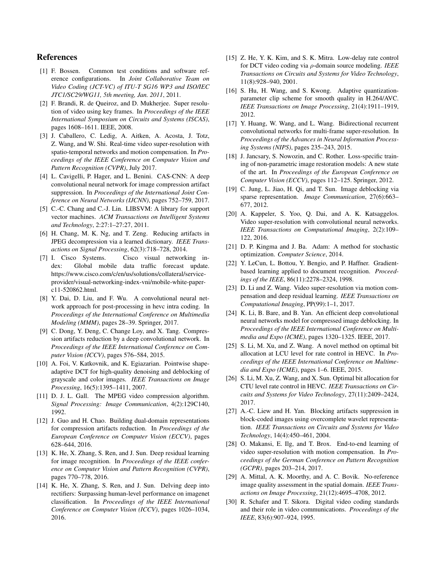## References

- <span id="page-8-20"></span>[1] F. Bossen. Common test conditions and software reference configurations. In *Joint Collaborative Team on Video Coding (JCT-VC) of ITU-T SG16 WP3 and ISO/IEC JTC1/SC29/WG11, 5th meeting, Jan. 2011*, 2011.
- <span id="page-8-16"></span>[2] F. Brandi, R. de Queiroz, and D. Mukherjee. Super resolution of video using key frames. In *Proceedings of the IEEE International Symposium on Circuits and Systems (ISCAS)*, pages 1608–1611. IEEE, 2008.
- <span id="page-8-12"></span>[3] J. Caballero, C. Ledig, A. Aitken, A. Acosta, J. Totz, Z. Wang, and W. Shi. Real-time video super-resolution with spatio-temporal networks and motion compensation. In *Proceedings of the IEEE Conference on Computer Vision and Pattern Recognition (CVPR)*, July 2017.
- <span id="page-8-14"></span>[4] L. Cavigelli, P. Hager, and L. Benini. CAS-CNN: A deep convolutional neural network for image compression artifact suppression. In *Proceedings of the International Joint Conference on Neural Networks (IJCNN)*, pages 752–759, 2017.
- <span id="page-8-26"></span>[5] C.-C. Chang and C.-J. Lin. LIBSVM: A library for support vector machines. *ACM Transactions on Intelligent Systems and Technology*, 2:27:1–27:27, 2011.
- <span id="page-8-6"></span>[6] H. Chang, M. K. Ng, and T. Zeng. Reducing artifacts in JPEG decompression via a learned dictionary. *IEEE Transactions on Signal Processing*, 62(3):718–728, 2014.
- <span id="page-8-0"></span>[7] I. Cisco Systems. Cisco visual networking index: Global mobile data traffic forecast update. https://www.cisco.com/c/en/us/solutions/collateral/serviceprovider/visual-networking-index-vni/mobile-white-paperc11-520862.html.
- <span id="page-8-15"></span>[8] Y. Dai, D. Liu, and F. Wu. A convolutional neural network approach for post-processing in hevc intra coding. In *Proceedings of the International Conference on Multimedia Modeling (MMM)*, pages 28–39. Springer, 2017.
- <span id="page-8-7"></span>[9] C. Dong, Y. Deng, C. Change Loy, and X. Tang. Compression artifacts reduction by a deep convolutional network. In *Proceedings of the IEEE International Conference on Computer Vision (ICCV)*, pages 576–584, 2015.
- <span id="page-8-4"></span>[10] A. Foi, V. Katkovnik, and K. Egiazarian. Pointwise shapeadaptive DCT for high-quality denoising and deblocking of grayscale and color images. *IEEE Transactions on Image Processing*, 16(5):1395–1411, 2007.
- <span id="page-8-21"></span>[11] D. J. L. Gall. The MPEG video compression algorithm. *Signal Processing: Image Communication*, 4(2):129C140, 1992.
- <span id="page-8-8"></span>[12] J. Guo and H. Chao. Building dual-domain representations for compression artifacts reduction. In *Proceedings of the European Conference on Computer Vision (ECCV)*, pages 628–644, 2016.
- <span id="page-8-24"></span>[13] K. He, X. Zhang, S. Ren, and J. Sun. Deep residual learning for image recognition. In *Proceedings of the IEEE conference on Computer Vision and Pattern Recognition (CVPR)*, pages 770–778, 2016.
- <span id="page-8-23"></span>[14] K. He, X. Zhang, S. Ren, and J. Sun. Delving deep into rectifiers: Surpassing human-level performance on imagenet classification. In *Proceedings of the IEEE International Conference on Computer Vision (ICCV)*, pages 1026–1034, 2016.
- <span id="page-8-28"></span>[15] Z. He, Y. K. Kim, and S. K. Mitra. Low-delay rate control for DCT video coding via ρ-domain source modeling. *IEEE Transactions on Circuits and Systems for Video Technology*, 11(8):928–940, 2001.
- <span id="page-8-29"></span>[16] S. Hu, H. Wang, and S. Kwong. Adaptive quantizationparameter clip scheme for smooth quality in H.264/AVC. *IEEE Transactions on Image Processing*, 21(4):1911–1919, 2012.
- <span id="page-8-17"></span>[17] Y. Huang, W. Wang, and L. Wang. Bidirectional recurrent convolutional networks for multi-frame super-resolution. In *Proceedings of the Advances in Neural Information Processing Systems (NIPS)*, pages 235–243, 2015.
- <span id="page-8-5"></span>[18] J. Jancsary, S. Nowozin, and C. Rother. Loss-specific training of non-parametric image restoration models: A new state of the art. In *Proceedings of the European Conference on Computer Vision (ECCV)*, pages 112–125. Springer, 2012.
- <span id="page-8-13"></span>[19] C. Jung, L. Jiao, H. Qi, and T. Sun. Image deblocking via sparse representation. *Image Communication*, 27(6):663– 677, 2012.
- <span id="page-8-11"></span>[20] A. Kappeler, S. Yoo, Q. Dai, and A. K. Katsaggelos. Video super-resolution with convolutional neural networks. *IEEE Transactions on Computational Imaging*, 2(2):109– 122, 2016.
- <span id="page-8-27"></span>[21] D. P. Kingma and J. Ba. Adam: A method for stochastic optimization. *Computer Science*, 2014.
- <span id="page-8-10"></span>[22] Y. LeCun, L. Bottou, Y. Bengio, and P. Haffner. Gradientbased learning applied to document recognition. *Proceedings of the IEEE*, 86(11):2278–2324, 1998.
- <span id="page-8-18"></span>[23] D. Li and Z. Wang. Video super-resolution via motion compensation and deep residual learning. *IEEE Transactions on Computational Imaging*, PP(99):1–1, 2017.
- <span id="page-8-9"></span>[24] K. Li, B. Bare, and B. Yan. An efficient deep convolutional neural networks model for compressed image deblocking. In *Proceedings of the IEEE International Conference on Multimedia and Expo (ICME)*, pages 1320–1325. IEEE, 2017.
- <span id="page-8-2"></span>[25] S. Li, M. Xu, and Z. Wang. A novel method on optimal bit allocation at LCU level for rate control in HEVC. In *Proceedings of the IEEE International Conference on Multimedia and Expo (ICME)*, pages 1–6. IEEE, 2015.
- <span id="page-8-1"></span>[26] S. Li, M. Xu, Z. Wang, and X. Sun. Optimal bit allocation for CTU level rate control in HEVC. *IEEE Transactions on Circuits and Systems for Video Technology*, 27(11):2409–2424, 2017.
- <span id="page-8-3"></span>[27] A.-C. Liew and H. Yan. Blocking artifacts suppression in block-coded images using overcomplete wavelet representation. *IEEE Transactions on Circuits and Systems for Video Technology*, 14(4):450–461, 2004.
- <span id="page-8-19"></span>[28] O. Makansi, E. Ilg, and T. Brox. End-to-end learning of video super-resolution with motion compensation. In *Proceedings of the German Conference on Pattern Recognition (GCPR)*, pages 203–214, 2017.
- <span id="page-8-25"></span>[29] A. Mittal, A. K. Moorthy, and A. C. Bovik. No-reference image quality assessment in the spatial domain. *IEEE Transactions on Image Processing*, 21(12):4695–4708, 2012.
- <span id="page-8-22"></span>[30] R. Schafer and T. Sikora. Digital video coding standards and their role in video communications. *Proceedings of the IEEE*, 83(6):907–924, 1995.